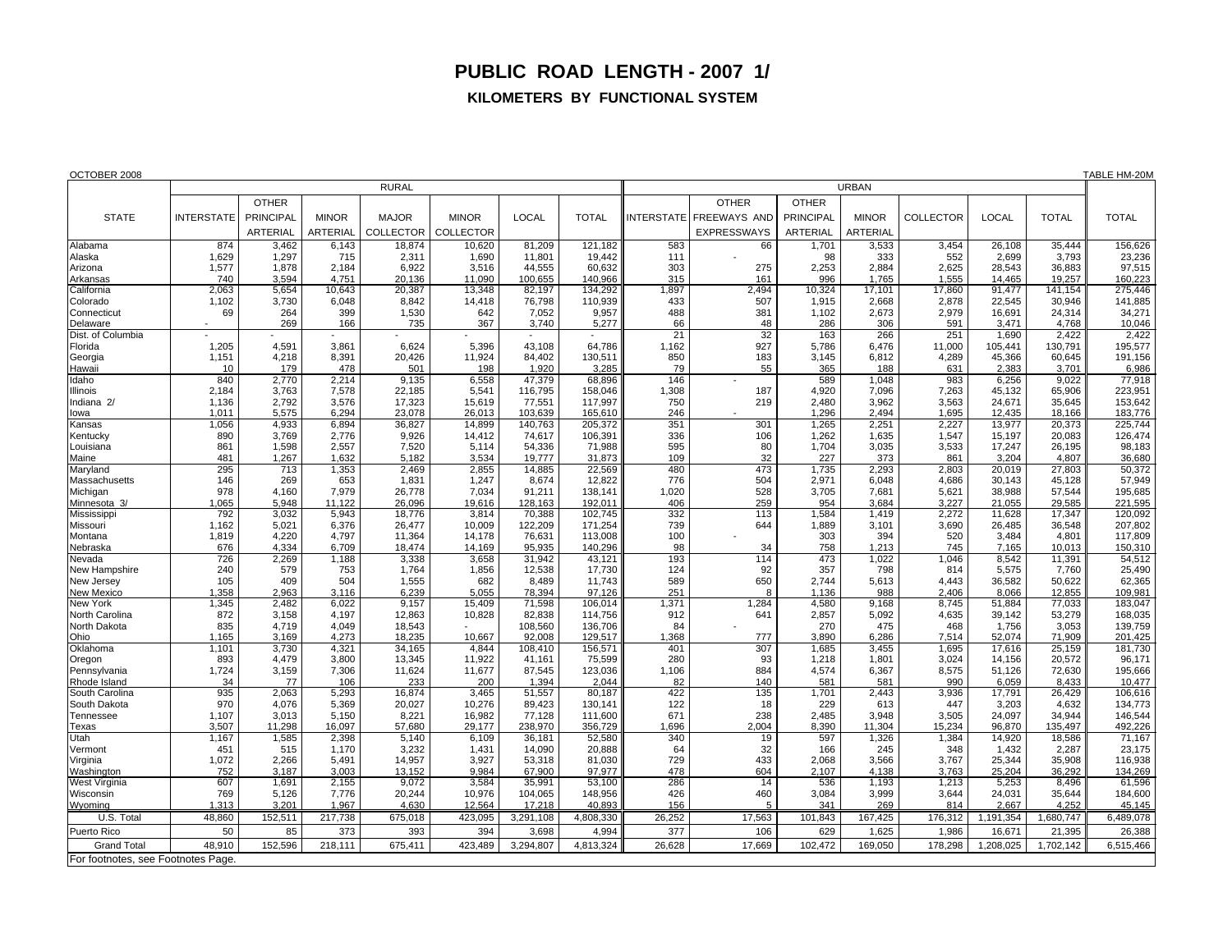## **PUBLIC ROAD LENGTH - 2007 1/**

## **KILOMETERS BY FUNCTIONAL SYSTEM**

| OCTOBER 2008                       |                   |                  |                 |                 |                  |                   |                   |             |                        |                  |                 |                |                 |                 | TABLE HM-20M      |
|------------------------------------|-------------------|------------------|-----------------|-----------------|------------------|-------------------|-------------------|-------------|------------------------|------------------|-----------------|----------------|-----------------|-----------------|-------------------|
|                                    | <b>RURAL</b>      |                  |                 |                 |                  |                   |                   |             | <b>URBAN</b>           |                  |                 |                |                 |                 |                   |
|                                    |                   | <b>OTHER</b>     |                 |                 |                  |                   |                   |             | <b>OTHER</b>           | <b>OTHER</b>     |                 |                |                 |                 |                   |
| <b>STATE</b>                       | <b>INTERSTATE</b> | <b>PRINCIPAL</b> | <b>MINOR</b>    | <b>MAJOR</b>    | <b>MINOR</b>     | <b>LOCAL</b>      | <b>TOTAL</b>      |             | NTERSTATE FREEWAYS AND | <b>PRINCIPAL</b> | <b>MINOR</b>    | COLLECTOR      | <b>LOCAL</b>    | <b>TOTAL</b>    | <b>TOTAL</b>      |
|                                    |                   | <b>ARTERIAL</b>  | <b>ARTERIAL</b> | COLLECTOR       | <b>COLLECTOR</b> |                   |                   |             | <b>EXPRESSWAYS</b>     | ARTERIAL         | <b>ARTERIAL</b> |                |                 |                 |                   |
| Alabama                            | 874               | 3,462            | 6,143           | 18,874          | 10,620           | 81,209            | 121.182           | 583         | 66                     | 1,701            | 3,533           | 3,454          | 26,108          | 35,444          | 156,626           |
| Alaska                             | 1,629             | 1,297            | 715             | 2,311           | 1,690            | 11,801            | 19,442            | 111         |                        | 98               | 333             | 552            | 2,699           | 3,793           | 23,236            |
| Arizona                            | 1,577             | 1,878            | 2.184           | 6.922           | 3,516            | 44,555            | 60.632            | 303         | 275                    | 2.253            | 2,884           | 2,625          | 28.543          | 36,883          | 97,515            |
| Arkansas                           | 740               | 3,594            | 4,751           | 20,136          | 11,090           | 100,655           | 140,966           | 315         | 161                    | 996              | 1,765           | 1,555          | 14,465          | 19,257          | 160,223           |
| California                         | 2,063             | 5,654            | 10,643          | 20,387          | 13,348           | 82,197            | 134,292           | 1,897       | 2,494                  | 10,324           | 17,101          | 17,860         | 91,477          | 141,154         | 275,446           |
| Colorado                           | 1,102             | 3,730            | 6,048           | 8,842           | 14,418           | 76,798            | 110,939           | 433         | 507                    | 1,915            | 2,668           | 2,878          | 22,545          | 30,946          | 141,885           |
| Connecticut                        | 69                | 264              | 399             | 1,530           | 642              | 7,052             | 9,957             | 488         | 381                    | 1,102            | 2,673           | 2,979          | 16,691          | 24,314          | 34,271            |
| Delaware<br>Dist. of Columbia      |                   | 269              | 166             | 735             | 367              | 3,740             | 5,277             | 66<br>21    | 48<br>32               | 286<br>163       | 306<br>266      | 591<br>251     | 3.471<br>1,690  | 4,768<br>2,422  | 10,046            |
| Florida                            | 1,205             | 4,591            | 3.861           | 6,624           | 5,396            | 43,108            | 64,786            | 1,162       | 927                    | 5,786            | 6,476           | 11,000         | 105,441         | 130,791         | 2,422<br>195,577  |
| Georgia                            | 1,151             | 4,218            | 8,391           | 20,426          | 11,924           | 84,402            | 130,511           | 850         | 183                    | 3,145            | 6,812           | 4,289          | 45,366          | 60,645          | 191,156           |
| Hawaii                             | 10                | 179              | 478             | 501             | 198              | 1,920             | 3,285             | 79          | 55                     | 365              | 188             | 631            | 2,383           | 3,701           | 6,986             |
| Idaho                              | 840               | 2.770            | 2.214           | 9,135           | 6,558            | 47,379            | 68.896            | 146         |                        | 589              | 1.048           | 983            | 6,256           | 9.022           | 77,918            |
| <b>Illinois</b>                    | 2,184             | 3,763            | 7,578           | 22,185          | 5,541            | 116,795           | 158,046           | 1,308       | 187                    | 4,920            | 7,096           | 7,263          | 45.132          | 65.906          | 223,951           |
| Indiana 2/                         | 1,136             | 2,792            | 3,576           | 17,323          | 15,619           | 77,551            | 117,997           | 750         | 219                    | 2,480            | 3,962           | 3,563          | 24,671          | 35,645          | 153,642           |
| lowa                               | 1,011             | 5,575            | 6,294           | 23,078          | 26,013           | 103,639           | 165,610           | 246         |                        | 1,296            | 2,494           | 1,695          | 12,435          | 18,166          | 183,776           |
| Kansas                             | 1,056             | 4,933            | 6,894           | 36,827          | 14,899           | 140,763           | 205,372           | 351         | 301                    | 1,265            | 2,251           | 2,227          | 13,977          | 20,373          | 225,744           |
| Kentucky                           | 890               | 3,769            | 2.776           | 9,926           | 14,412           | 74,617            | 106,391           | 336         | 106                    | 1,262            | 1,635           | 1,547          | 15,197          | 20,083          | 126,474           |
| Louisiana<br>Maine                 | 861<br>481        | 1,598<br>1,267   | 2,557<br>1,632  | 7,520<br>5,182  | 5,114<br>3,534   | 54,336<br>19,777  | 71,988<br>31,873  | 595<br>109  | 80<br>32               | 1,704<br>227     | 3,035<br>373    | 3,533<br>861   | 17,247<br>3,204 | 26,195<br>4,807 | 98,183<br>36,680  |
| Maryland                           | 295               | 713              | 1,353           | 2,469           | 2,855            | 14,885            | 22,569            | 480         | 473                    | 1,735            | 2,293           | 2,803          | 20,019          | 27,803          | 50,372            |
| Massachusetts                      | 146               | 269              | 653             | 1,831           | 1,247            | 8,674             | 12,822            | 776         | 504                    | 2,971            | 6,048           | 4,686          | 30,143          | 45,128          | 57,949            |
| Michigan                           | 978               | 4,160            | 7,979           | 26,778          | 7,034            | 91,211            | 138,141           | 1,020       | 528                    | 3,705            | 7,681           | 5,621          | 38,988          | 57,544          | 195,685           |
| Minnesota 3/                       | 1,065             | 5.948            | 11.122          | 26,096          | 19,616           | 128.163           | 192,011           | 406         | 259                    | 954              | 3,684           | 3,227          | 21,055          | 29,585          | 221,595           |
| Mississippi                        | 792               | 3.032            | 5.943           | 18,776          | 3,814            | 70.388            | 102.745           | 332         | 113                    | 1,584            | 1,419           | 2,272          | 11.628          | 17.347          | 120,092           |
| Missouri                           | 1,162             | 5,021            | 6.376           | 26,477          | 10,009           | 122,209           | 171,254           | 739         | 644                    | 1,889            | 3,101           | 3,690          | 26,485          | 36,548          | 207,802           |
| Montana                            | 1,819             | 4,220            | 4,797           | 11,364          | 14,178           | 76,631            | 113,008           | 100         |                        | 303              | 394             | 520            | 3,484           | 4,801           | 117,809           |
| Nebraska                           | 676               | 4.334            | 6,709           | 18,474          | 14,169           | 95,935            | 140,296           | 98<br>193   | 34                     | 758<br>473       | 1,213           | 745            | 7,165           | 10.013          | 150,310<br>54,512 |
| Nevada<br>New Hampshire            | 726<br>240        | 2,269<br>579     | 1,188<br>753    | 3,338<br>1,764  | 3,658<br>1,856   | 31,942<br>12,538  | 43,121<br>17,730  | 124         | 114<br>92              | 357              | 1,022<br>798    | 1,046<br>814   | 8.542<br>5,575  | 11.391<br>7.760 | 25,490            |
| New Jersey                         | 105               | 409              | 504             | 1,555           | 682              | 8,489             | 11,743            | 589         | 650                    | 2,744            | 5,613           | 4,443          | 36,582          | 50,622          | 62,365            |
| New Mexico                         | 1,358             | 2,963            | 3,116           | 6,239           | 5,055            | 78,394            | 97,126            | 251         | 8                      | 1,136            | 988             | 2,406          | 8,066           | 12,855          | 109,981           |
| New York                           | 1,345             | 2,482            | 6,022           | 9,157           | 15,409           | 71,598            | 106,014           | 1,371       | 1,284                  | 4,580            | 9,168           | 8,745          | 51,884          | 77,033          | 183,047           |
| North Carolina                     | 872               | 3,158            | 4,197           | 12,863          | 10,828           | 82,838            | 114,756           | 912         | 641                    | 2,857            | 5,092           | 4,635          | 39,142          | 53,279          | 168,035           |
| North Dakota                       | 835               | 4,719            | 4,049           | 18,543          |                  | 108,560           | 136,706           | 84          |                        | 270              | 475             | 468            | 1,756           | 3,053           | 139,759           |
| Ohio                               | 1,165             | 3,169            | 4,273           | 18,235          | 10,667           | 92,008            | 129,517           | 1,368       | 777                    | 3,890            | 6,286           | 7,514          | 52,074          | 71,909          | 201,425           |
| Oklahoma                           | 1,101             | 3,730            | 4,321           | 34,165          | 4,844            | 108,410           | 156,571           | 401         | 307                    | 1,685            | 3,455           | 1,695          | 17,616          | 25,159          | 181,730           |
| Oregon                             | 893               | 4,479            | 3,800           | 13,345          | 11,922           | 41,161            | 75,599            | 280         | 93                     | 1,218            | 1,801           | 3,024          | 14,156          | 20,572          | 96,171<br>195,666 |
| Pennsylvania<br>Rhode Island       | 1,724<br>34       | 3,159<br>77      | 7,306<br>106    | 11,624<br>233   | 11,677<br>200    | 87,545<br>1,394   | 123,036<br>2,044  | 1,106<br>82 | 884<br>140             | 4,574<br>581     | 6,367<br>581    | 8,575<br>990   | 51,126<br>6,059 | 72,630<br>8,433 | 10,477            |
| South Carolina                     | 935               | 2,063            | 5.293           | 16,874          | 3,465            | 51,557            | 80.187            | 422         | 135                    | 1,701            | 2.443           | 3,936          | 17,791          | 26,429          | 106,616           |
| South Dakota                       | 970               | 4,076            | 5,369           | 20,027          | 10,276           | 89,423            | 130,141           | 122         | 18                     | 229              | 613             | 447            | 3,203           | 4,632           | 134,773           |
| Tennessee                          | 1,107             | 3,013            | 5.150           | 8,221           | 16,982           | 77,128            | 111,600           | 671         | 238                    | 2,485            | 3,948           | 3,505          | 24,097          | 34,944          | 146,544           |
| Texas                              | 3,507             | 11,298           | 16,097          | 57,680          | 29,177           | 238,970           | 356,729           | 1,696       | 2.004                  | 8,390            | 11,304          | 15,234         | 96,870          | 135,497         | 492,226           |
| Utah                               | 1,167             | 1,585            | 2,398           | 5,140           | 6,109            | 36,181            | 52,580            | 340         | 19                     | 597              | 1,326           | 1,384          | 14.920          | 18.586          | 71,167            |
| Vermont                            | 451               | 515              | 1.170           | 3,232           | 1,431            | 14,090            | 20,888            | 64          | 32                     | 166              | 245             | 348            | 1,432           | 2,287           | 23,175            |
| Virginia                           | 1,072             | 2,266            | 5,491           | 14,957          | 3,927            | 53,318            | 81,030            | 729         | 433                    | 2,068            | 3,566           | 3,767          | 25,344          | 35,908          | 116,938           |
| Washington                         | 752               | 3.187            | 3.003           | 13.152          | 9,984            | 67,900            | 97.977            | 478         | 604                    | 2,107            | 4,138           | 3.763          | 25,204          | 36,292          | 134,269           |
| West Virginia<br>Wisconsin         | 607<br>769        | 1,691<br>5,126   | 2,155<br>7,776  | 9,072<br>20,244 | 3,584<br>10,976  | 35,991<br>104,065 | 53,100<br>148,956 | 286<br>426  | 14<br>460              | 536<br>3,084     | 1,193<br>3,999  | 1,213<br>3,644 | 5,253<br>24,031 | 8,496<br>35,644 | 61,596<br>184,600 |
| Wyoming                            | 1,313             | 3,201            | 1.967           | 4,630           | 12,564           | 17,218            | 40,893            | 156         | $\overline{5}$         | 341              | 269             | 814            | 2,667           | 4.252           | 45,145            |
| U.S. Total                         | 48,860            | 152,511          | 217,738         | 675,018         | 423,095          | 3,291,108         | 4,808,330         | 26,252      | 17,563                 | 101,843          | 167,425         | 176,312        | 1,191,354       | 1,680,747       | 6,489,078         |
| Puerto Rico                        | 50                | 85               | 373             | 393             | 394              | 3,698             | 4,994             | 377         | 106                    | 629              | 1,625           | 1,986          | 16,671          | 21,395          | 26,388            |
| <b>Grand Total</b>                 | 48,910            | 152,596          | 218,111         | 675,411         | 423,489          | 3,294,807         | 4,813,324         | 26,628      | 17,669                 | 102,472          | 169,050         | 178,298        | 1,208,025       | 1,702,142       | 6,515,466         |
| For footnotes, see Footnotes Page. |                   |                  |                 |                 |                  |                   |                   |             |                        |                  |                 |                |                 |                 |                   |
|                                    |                   |                  |                 |                 |                  |                   |                   |             |                        |                  |                 |                |                 |                 |                   |